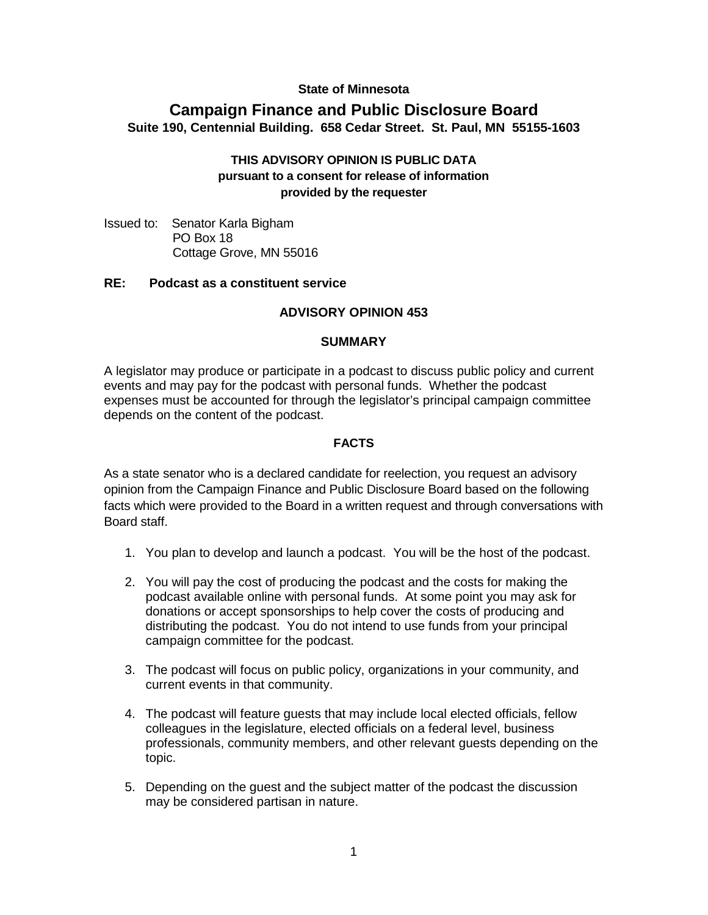# **State of Minnesota**

# **Campaign Finance and Public Disclosure Board Suite 190, Centennial Building. 658 Cedar Street. St. Paul, MN 55155-1603**

# **THIS ADVISORY OPINION IS PUBLIC DATA pursuant to a consent for release of information provided by the requester**

Issued to: Senator Karla Bigham PO Box 18 Cottage Grove, MN 55016

#### **RE: Podcast as a constituent service**

#### **ADVISORY OPINION 453**

#### **SUMMARY**

A legislator may produce or participate in a podcast to discuss public policy and current events and may pay for the podcast with personal funds. Whether the podcast expenses must be accounted for through the legislator's principal campaign committee depends on the content of the podcast.

#### **FACTS**

As a state senator who is a declared candidate for reelection, you request an advisory opinion from the Campaign Finance and Public Disclosure Board based on the following facts which were provided to the Board in a written request and through conversations with Board staff.

- 1. You plan to develop and launch a podcast. You will be the host of the podcast.
- 2. You will pay the cost of producing the podcast and the costs for making the podcast available online with personal funds. At some point you may ask for donations or accept sponsorships to help cover the costs of producing and distributing the podcast. You do not intend to use funds from your principal campaign committee for the podcast.
- 3. The podcast will focus on public policy, organizations in your community, and current events in that community.
- 4. The podcast will feature guests that may include local elected officials, fellow colleagues in the legislature, elected officials on a federal level, business professionals, community members, and other relevant guests depending on the topic.
- 5. Depending on the guest and the subject matter of the podcast the discussion may be considered partisan in nature.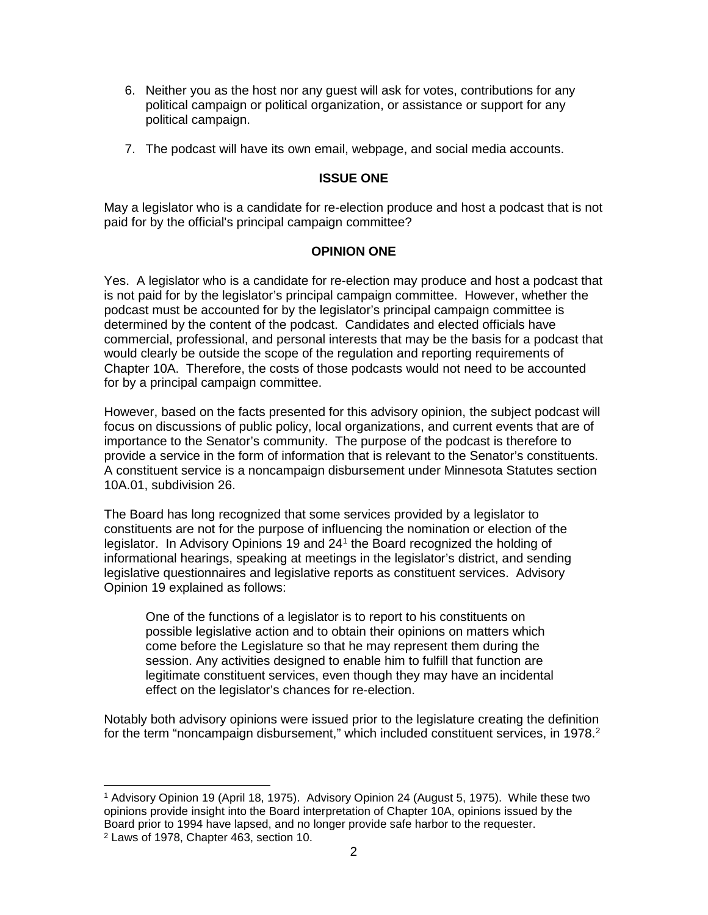- 6. Neither you as the host nor any guest will ask for votes, contributions for any political campaign or political organization, or assistance or support for any political campaign.
- 7. The podcast will have its own email, webpage, and social media accounts.

# **ISSUE ONE**

May a legislator who is a candidate for re-election produce and host a podcast that is not paid for by the official's principal campaign committee?

# **OPINION ONE**

Yes. A legislator who is a candidate for re-election may produce and host a podcast that is not paid for by the legislator's principal campaign committee. However, whether the podcast must be accounted for by the legislator's principal campaign committee is determined by the content of the podcast. Candidates and elected officials have commercial, professional, and personal interests that may be the basis for a podcast that would clearly be outside the scope of the regulation and reporting requirements of Chapter 10A. Therefore, the costs of those podcasts would not need to be accounted for by a principal campaign committee.

However, based on the facts presented for this advisory opinion, the subject podcast will focus on discussions of public policy, local organizations, and current events that are of importance to the Senator's community. The purpose of the podcast is therefore to provide a service in the form of information that is relevant to the Senator's constituents. A constituent service is a noncampaign disbursement under Minnesota Statutes section 10A.01, subdivision 26.

The Board has long recognized that some services provided by a legislator to constituents are not for the purpose of influencing the nomination or election of the legislator. In Advisory Opinions 19 and 24[1](#page-1-0) the Board recognized the holding of informational hearings, speaking at meetings in the legislator's district, and sending legislative questionnaires and legislative reports as constituent services. Advisory Opinion 19 explained as follows:

One of the functions of a legislator is to report to his constituents on possible legislative action and to obtain their opinions on matters which come before the Legislature so that he may represent them during the session. Any activities designed to enable him to fulfill that function are legitimate constituent services, even though they may have an incidental effect on the legislator's chances for re-election.

Notably both advisory opinions were issued prior to the legislature creating the definition for the term "noncampaign disbursement," which included constituent services, in 1978.<sup>[2](#page-1-1)</sup>

<span id="page-1-1"></span><span id="page-1-0"></span> <sup>1</sup> Advisory Opinion 19 (April 18, 1975). Advisory Opinion 24 (August 5, 1975). While these two opinions provide insight into the Board interpretation of Chapter 10A, opinions issued by the Board prior to 1994 have lapsed, and no longer provide safe harbor to the requester. <sup>2</sup> Laws of 1978, Chapter 463, section 10.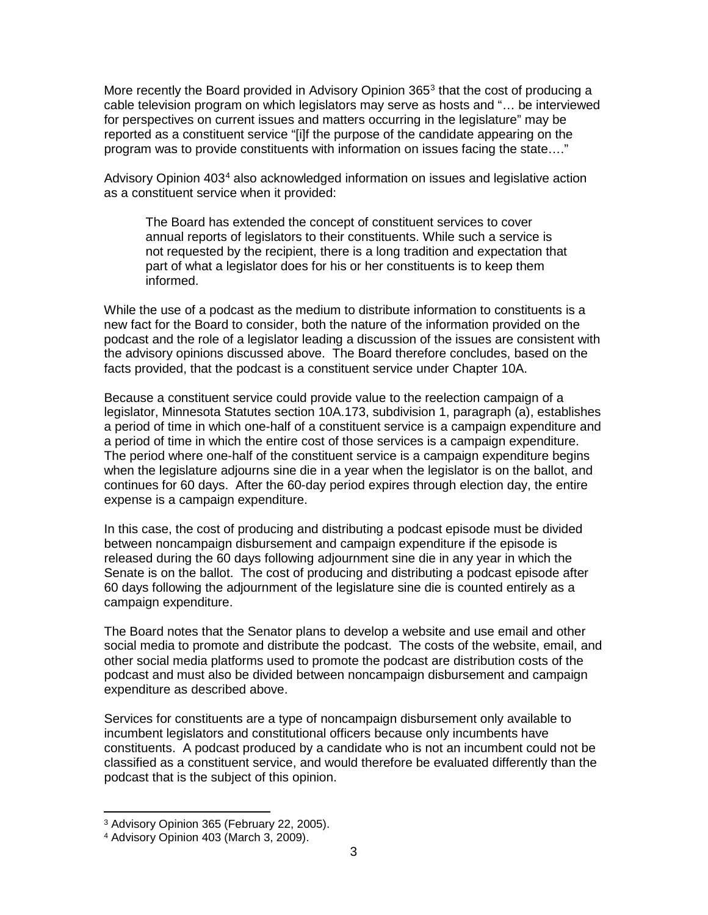More recently the Board provided in Advisory Opinion [3](#page-2-0)65 $3$  that the cost of producing a cable television program on which legislators may serve as hosts and "… be interviewed for perspectives on current issues and matters occurring in the legislature" may be reported as a constituent service "[i]f the purpose of the candidate appearing on the program was to provide constituents with information on issues facing the state…."

Advisory Opinion [4](#page-2-1)03<sup>4</sup> also acknowledged information on issues and legislative action as a constituent service when it provided:

The Board has extended the concept of constituent services to cover annual reports of legislators to their constituents. While such a service is not requested by the recipient, there is a long tradition and expectation that part of what a legislator does for his or her constituents is to keep them informed.

While the use of a podcast as the medium to distribute information to constituents is a new fact for the Board to consider, both the nature of the information provided on the podcast and the role of a legislator leading a discussion of the issues are consistent with the advisory opinions discussed above. The Board therefore concludes, based on the facts provided, that the podcast is a constituent service under Chapter 10A.

Because a constituent service could provide value to the reelection campaign of a legislator, Minnesota Statutes section 10A.173, subdivision 1, paragraph (a), establishes a period of time in which one-half of a constituent service is a campaign expenditure and a period of time in which the entire cost of those services is a campaign expenditure. The period where one-half of the constituent service is a campaign expenditure begins when the legislature adjourns sine die in a year when the legislator is on the ballot, and continues for 60 days. After the 60-day period expires through election day, the entire expense is a campaign expenditure.

In this case, the cost of producing and distributing a podcast episode must be divided between noncampaign disbursement and campaign expenditure if the episode is released during the 60 days following adjournment sine die in any year in which the Senate is on the ballot. The cost of producing and distributing a podcast episode after 60 days following the adjournment of the legislature sine die is counted entirely as a campaign expenditure.

The Board notes that the Senator plans to develop a website and use email and other social media to promote and distribute the podcast. The costs of the website, email, and other social media platforms used to promote the podcast are distribution costs of the podcast and must also be divided between noncampaign disbursement and campaign expenditure as described above.

Services for constituents are a type of noncampaign disbursement only available to incumbent legislators and constitutional officers because only incumbents have constituents. A podcast produced by a candidate who is not an incumbent could not be classified as a constituent service, and would therefore be evaluated differently than the podcast that is the subject of this opinion.

<span id="page-2-1"></span><span id="page-2-0"></span><sup>3</sup> Advisory Opinion 365 (February 22, 2005). 4 Advisory Opinion 403 (March 3, 2009).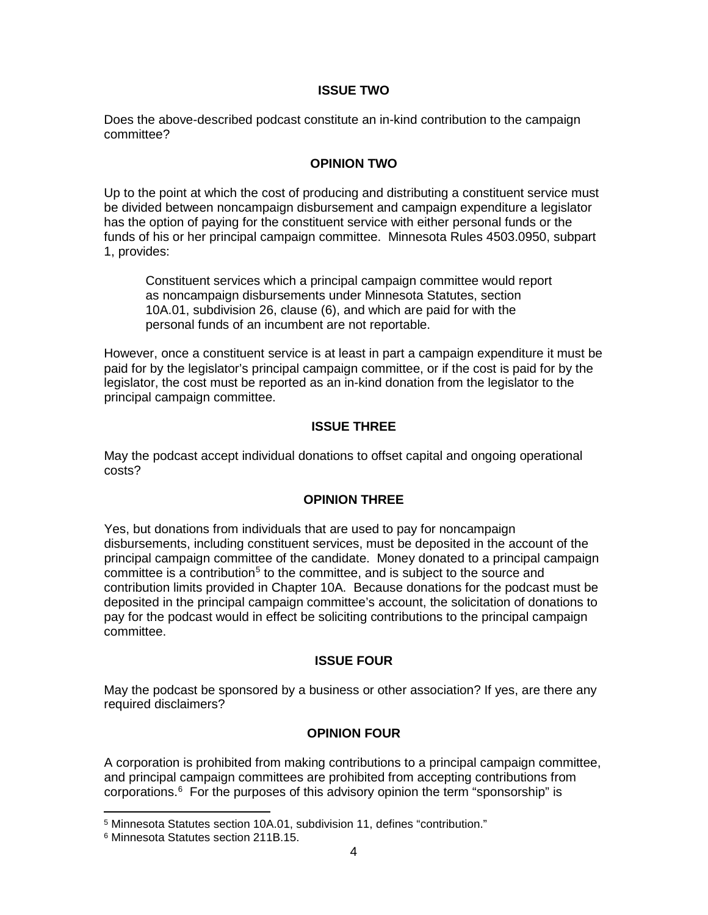#### **ISSUE TWO**

Does the above-described podcast constitute an in-kind contribution to the campaign committee?

# **OPINION TWO**

Up to the point at which the cost of producing and distributing a constituent service must be divided between noncampaign disbursement and campaign expenditure a legislator has the option of paying for the constituent service with either personal funds or the funds of his or her principal campaign committee. Minnesota Rules 4503.0950, subpart 1, provides:

Constituent services which a principal campaign committee would report as noncampaign disbursements under Minnesota Statutes, section 10A.01, subdivision 26, clause (6), and which are paid for with the personal funds of an incumbent are not reportable.

However, once a constituent service is at least in part a campaign expenditure it must be paid for by the legislator's principal campaign committee, or if the cost is paid for by the legislator, the cost must be reported as an in-kind donation from the legislator to the principal campaign committee.

#### **ISSUE THREE**

May the podcast accept individual donations to offset capital and ongoing operational costs?

# **OPINION THREE**

Yes, but donations from individuals that are used to pay for noncampaign disbursements, including constituent services, must be deposited in the account of the principal campaign committee of the candidate. Money donated to a principal campaign  $committee$  is a contribution<sup>[5](#page-3-0)</sup> to the committee, and is subject to the source and contribution limits provided in Chapter 10A. Because donations for the podcast must be deposited in the principal campaign committee's account, the solicitation of donations to pay for the podcast would in effect be soliciting contributions to the principal campaign committee.

#### **ISSUE FOUR**

May the podcast be sponsored by a business or other association? If yes, are there any required disclaimers?

# **OPINION FOUR**

A corporation is prohibited from making contributions to a principal campaign committee, and principal campaign committees are prohibited from accepting contributions from corporations. [6](#page-3-1) For the purposes of this advisory opinion the term "sponsorship" is

<span id="page-3-0"></span> <sup>5</sup> Minnesota Statutes section 10A.01, subdivision 11, defines "contribution."

<span id="page-3-1"></span><sup>6</sup> Minnesota Statutes section 211B.15.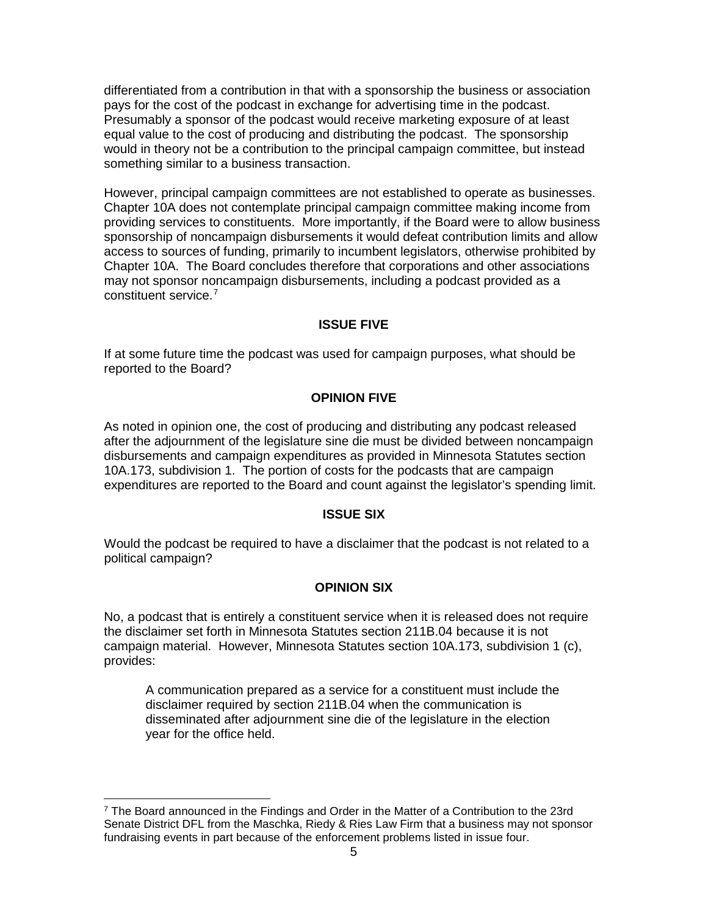differentiated from a contribution in that with a sponsorship the business or association pays for the cost of the podcast in exchange for advertising time in the podcast. Presumably a sponsor of the podcast would receive marketing exposure of at least equal value to the cost of producing and distributing the podcast. The sponsorship would in theory not be a contribution to the principal campaign committee, but instead something similar to a business transaction.

However, principal campaign committees are not established to operate as businesses. Chapter 10A does not contemplate principal campaign committee making income from providing services to constituents. More importantly, if the Board were to allow business sponsorship of noncampaign disbursements it would defeat contribution limits and allow access to sources of funding, primarily to incumbent legislators, otherwise prohibited by Chapter 10A. The Board concludes therefore that corporations and other associations may not sponsor noncampaign disbursements, including a podcast provided as a constituent service. [7](#page-4-0)

# **ISSUE FIVE**

If at some future time the podcast was used for campaign purposes, what should be reported to the Board?

# **OPINION FIVE**

As noted in opinion one, the cost of producing and distributing any podcast released after the adjournment of the legislature sine die must be divided between noncampaign disbursements and campaign expenditures as provided in Minnesota Statutes section 10A.173, subdivision 1. The portion of costs for the podcasts that are campaign expenditures are reported to the Board and count against the legislator's spending limit.

# **ISSUE SIX**

Would the podcast be required to have a disclaimer that the podcast is not related to a political campaign?

# **OPINION SIX**

No, a podcast that is entirely a constituent service when it is released does not require the disclaimer set forth in Minnesota Statutes section 211B.04 because it is not campaign material. However, Minnesota Statutes section 10A.173, subdivision 1 (c), provides:

A communication prepared as a service for a constituent must include the disclaimer required by section 211B.04 when the communication is disseminated after adjournment sine die of the legislature in the election year for the office held.

<span id="page-4-0"></span> $7$  The Board announced in the Findings and Order in the Matter of a Contribution to the 23rd Senate District DFL from the Maschka, Riedy & Ries Law Firm that a business may not sponsor fundraising events in part because of the enforcement problems listed in issue four.